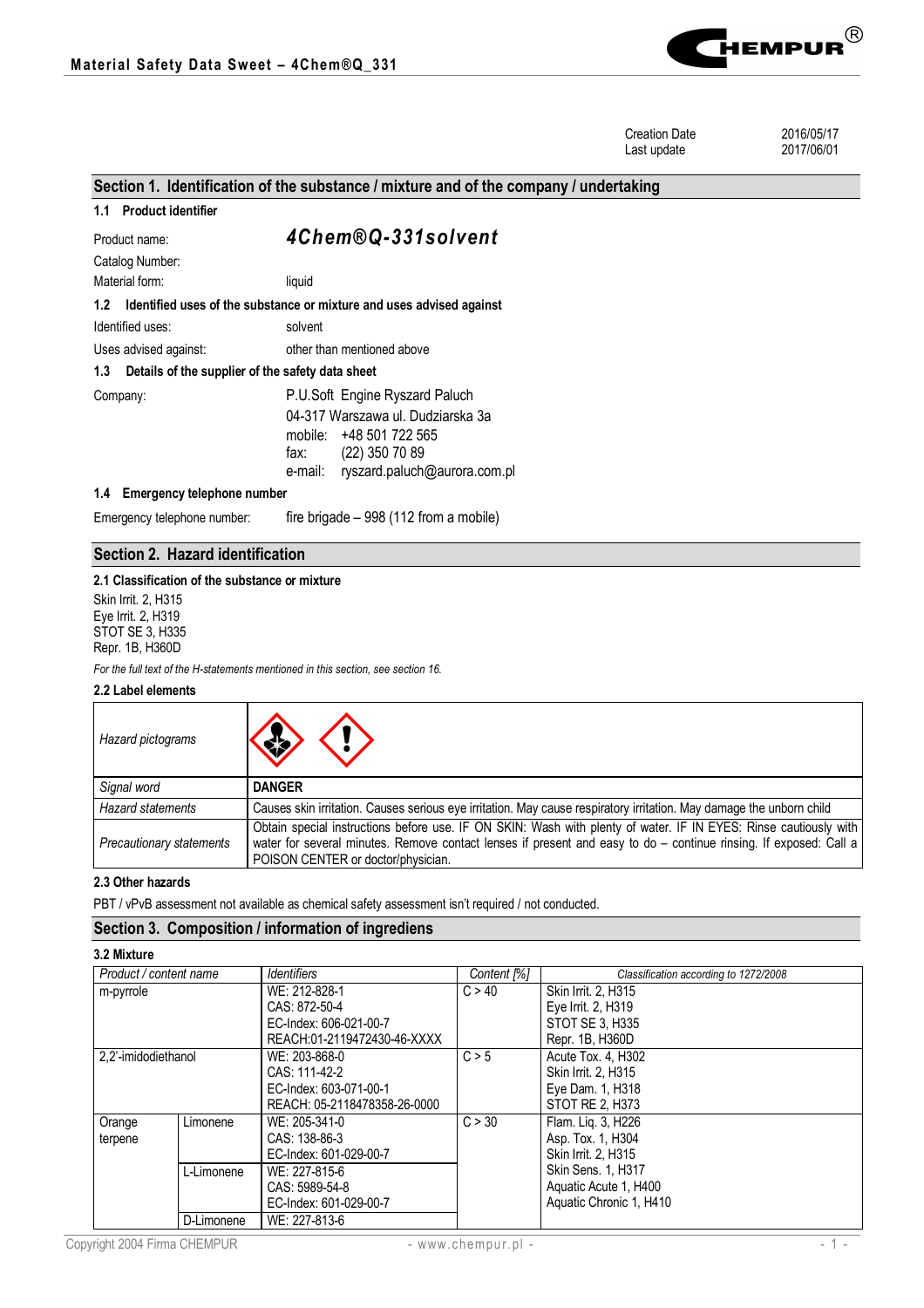

Creation Date 2016/05/17<br>
Last update 2017/06/01 Last update

# **Section 1. Identification of the substance / mixture and of the company / undertaking 1.1 Product identifier** Product name: *4Chem®Q-331solvent* Catalog Number: Material form: liquid **1.2 Identified uses of the substance or mixture and uses advised against** Identified uses: solvent Uses advised against: other than mentioned above **1.3 Details of the supplier of the safety data sheet** Company: P.U.Soft Engine Ryszard Paluch 04-317 Warszawa ul. Dudziarska 3a mobile: +48 501 722 565 fax: (22) 350 70 89 e-mail: ryszard.paluch@aurora.com.pl **1.4 Emergency telephone number** Emergency telephone number: fire brigade – 998 (112 from a mobile)

# **Section 2. Hazard identification**

#### **2.1 Classification of the substance or mixture**

Skin Irrit. 2, H315 Eye Irrit. 2, H319 STOT SE 3, H335 Repr. 1B, H360D

*For the full text of the H-statements mentioned in this section, see section 16.*

# **2.2 Label elements**

| Hazard pictograms        | $\langle \cdot \rangle \langle \cdot \rangle$                                                                                                                                                                                                                               |
|--------------------------|-----------------------------------------------------------------------------------------------------------------------------------------------------------------------------------------------------------------------------------------------------------------------------|
| Signal word              | <b>DANGER</b>                                                                                                                                                                                                                                                               |
| <b>Hazard statements</b> | Causes skin irritation. Causes serious eye irritation. May cause respiratory irritation. May damage the unborn child                                                                                                                                                        |
| Precautionary statements | Obtain special instructions before use. IF ON SKIN: Wash with plenty of water. IF IN EYES: Rinse cautiously with<br>water for several minutes. Remove contact lenses if present and easy to do – continue rinsing. If exposed: Call a<br>POISON CENTER or doctor/physician. |

### **2.3 Other hazards**

PBT / vPvB assessment not available as chemical safety assessment isn't required / not conducted.

# **Section 3. Composition / information of ingrediens**

| Product / content name |            | Identifiers                  | Content [%] | Classification according to 1272/2008 |
|------------------------|------------|------------------------------|-------------|---------------------------------------|
| m-pyrrole              |            | WE: 212-828-1                | C > 40      | Skin Irrit. 2, H315                   |
|                        |            | CAS: 872-50-4                |             | Eye Irrit. 2, H319                    |
|                        |            | EC-Index: 606-021-00-7       |             | STOT SE 3. H335                       |
|                        |            | REACH:01-2119472430-46-XXXX  |             | Repr. 1B, H360D                       |
| 2,2'-imidodiethanol    |            | WE: 203-868-0                | C > 5       | Acute Tox, 4, H302                    |
|                        |            | CAS: 111-42-2                |             | Skin Irrit. 2. H315                   |
|                        |            | EC-Index: 603-071-00-1       |             | Eye Dam. 1, H318                      |
|                        |            | REACH: 05-2118478358-26-0000 |             | STOT RE 2. H373                       |
| Orange                 | Limonene   | WE: 205-341-0                | C > 30      | Flam. Lig. 3, H226                    |
| terpene                |            | CAS: 138-86-3                |             | Asp. Tox. 1, H304                     |
|                        |            | EC-Index: 601-029-00-7       |             | Skin Irrit. 2. H315                   |
|                        | L-Limonene | WE: 227-815-6                |             | Skin Sens. 1, H317                    |
|                        |            | CAS: 5989-54-8               |             | Aquatic Acute 1, H400                 |
|                        |            | EC-Index: 601-029-00-7       |             | Aquatic Chronic 1, H410               |
|                        | D-Limonene | WE: 227-813-6                |             |                                       |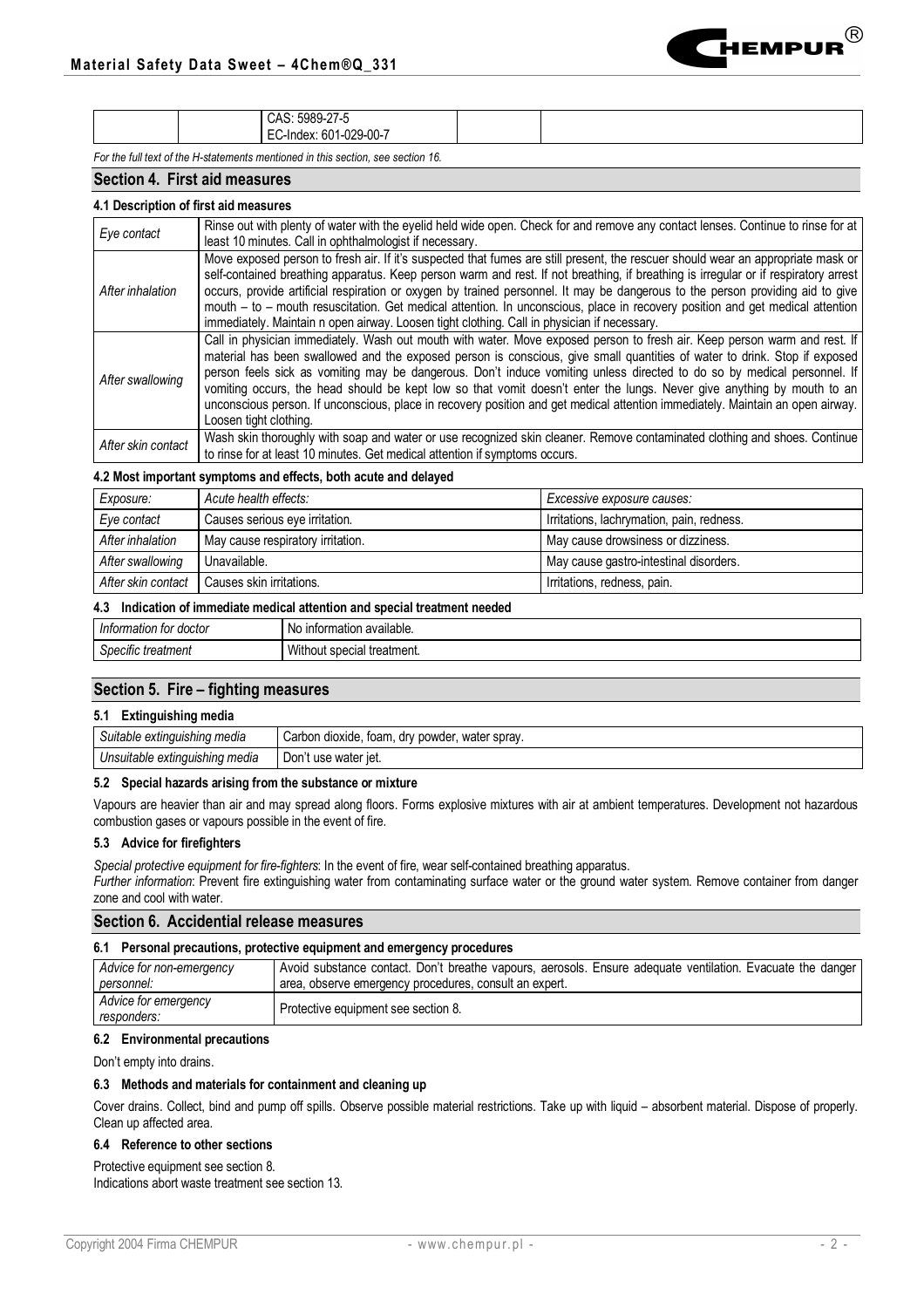|                                                                                   | 5989-27-5<br>CAS:<br>$:601-029-00-7$<br>EC-Index: |  |  |  |  |
|-----------------------------------------------------------------------------------|---------------------------------------------------|--|--|--|--|
| Facilla full land of the U. statements mentioned in this section, and acation 40. |                                                   |  |  |  |  |

*For the full text of the H-statements mentioned in this section, see section 16.*

# **Section 4. First aid measures**

# **4.1 Description of first aid measures**

| Eye contact        | Rinse out with plenty of water with the eyelid held wide open. Check for and remove any contact lenses. Continue to rinse for at  <br>least 10 minutes. Call in ophthalmologist if necessary.                                                                                                                                                                                                                                                                                                                                                                                                                                                                           |
|--------------------|-------------------------------------------------------------------------------------------------------------------------------------------------------------------------------------------------------------------------------------------------------------------------------------------------------------------------------------------------------------------------------------------------------------------------------------------------------------------------------------------------------------------------------------------------------------------------------------------------------------------------------------------------------------------------|
| After inhalation   | Move exposed person to fresh air. If it's suspected that fumes are still present, the rescuer should wear an appropriate mask or<br>self-contained breathing apparatus. Keep person warm and rest. If not breathing, if breathing is irregular or if respiratory arrest<br>occurs, provide artificial respiration or oxygen by trained personnel. It may be dangerous to the person providing aid to give<br>mouth - to - mouth resuscitation. Get medical attention. In unconscious, place in recovery position and get medical attention  <br>immediately. Maintain n open airway. Loosen tight clothing. Call in physician if necessary.                             |
| After swallowing   | Call in physician immediately. Wash out mouth with water. Move exposed person to fresh air. Keep person warm and rest. If<br>material has been swallowed and the exposed person is conscious, give small quantities of water to drink. Stop if exposed<br>person feels sick as vomiting may be dangerous. Don't induce vomiting unless directed to do so by medical personnel. If<br>vomiting occurs, the head should be kept low so that vomit doesn't enter the lungs. Never give anything by mouth to an<br>unconscious person. If unconscious, place in recovery position and get medical attention immediately. Maintain an open airway.<br>Loosen tight clothing. |
| After skin contact | Wash skin thoroughly with soap and water or use recognized skin cleaner. Remove contaminated clothing and shoes. Continue<br>to rinse for at least 10 minutes. Get medical attention if symptoms occurs.                                                                                                                                                                                                                                                                                                                                                                                                                                                                |

#### **4.2 Most important symptoms and effects, both acute and delayed**

| Exposure:          | Acute health effects:             | Excessive exposure causes:                |
|--------------------|-----------------------------------|-------------------------------------------|
| Eye contact        | Causes serious eye irritation.    | Irritations, lachrymation, pain, redness. |
| After inhalation   | May cause respiratory irritation. | May cause drowsiness or dizziness.        |
| After swallowing   | Unavailable.                      | May cause gastro-intestinal disorders.    |
| After skin contact | Causes skin irritations.          | Irritations, redness, pain.               |

#### **4.3 Indication of immediate medical attention and special treatment needed**

| lntormation for<br>doctor | o information available.<br>N0 |
|---------------------------|--------------------------------|
| Specific treatment        | Without special treatment.     |
|                           |                                |

## **Section 5. Fire – fighting measures**

#### **5.1 Extinguishing media**

| ~<br>toam<br>powder<br>Suitable extinguishing media<br>water spray.<br>Carbon<br>dioxide<br>. ul⊻ |                             |  |
|---------------------------------------------------------------------------------------------------|-----------------------------|--|
| Unsuitable extinguishing media                                                                    | ` water iet.<br>ل0on<br>use |  |

#### **5.2 Special hazards arising from the substance or mixture**

Vapours are heavier than air and may spread along floors. Forms explosive mixtures with air at ambient temperatures. Development not hazardous combustion gases or vapours possible in the event of fire.

### **5.3 Advice for firefighters**

*Special protective equipment for fire-fighters*: In the event of fire, wear self-contained breathing apparatus.

*Further information*: Prevent fire extinguishing water from contaminating surface water or the ground water system. Remove container from danger zone and cool with water.

#### **Section 6. Accidential release measures**

#### **6.1 Personal precautions, protective equipment and emergency procedures** *Advice for non-emergency personnel:*  Avoid substance contact. Don't breathe vapours, aerosols. Ensure adequate ventilation. Evacuate the danger area, observe emergency procedures, consult an expert. *Advice for emergency*  Protective equipment see section 8.

#### **6.2 Environmental precautions**

Don't empty into drains.

### **6.3 Methods and materials for containment and cleaning up**

Cover drains. Collect, bind and pump off spills. Observe possible material restrictions. Take up with liquid – absorbent material. Dispose of properly. Clean up affected area.

### **6.4 Reference to other sections**

Protective equipment see section 8. Indications abort waste treatment see section 13.  $\blacksquare$ Hempur $^\circledR$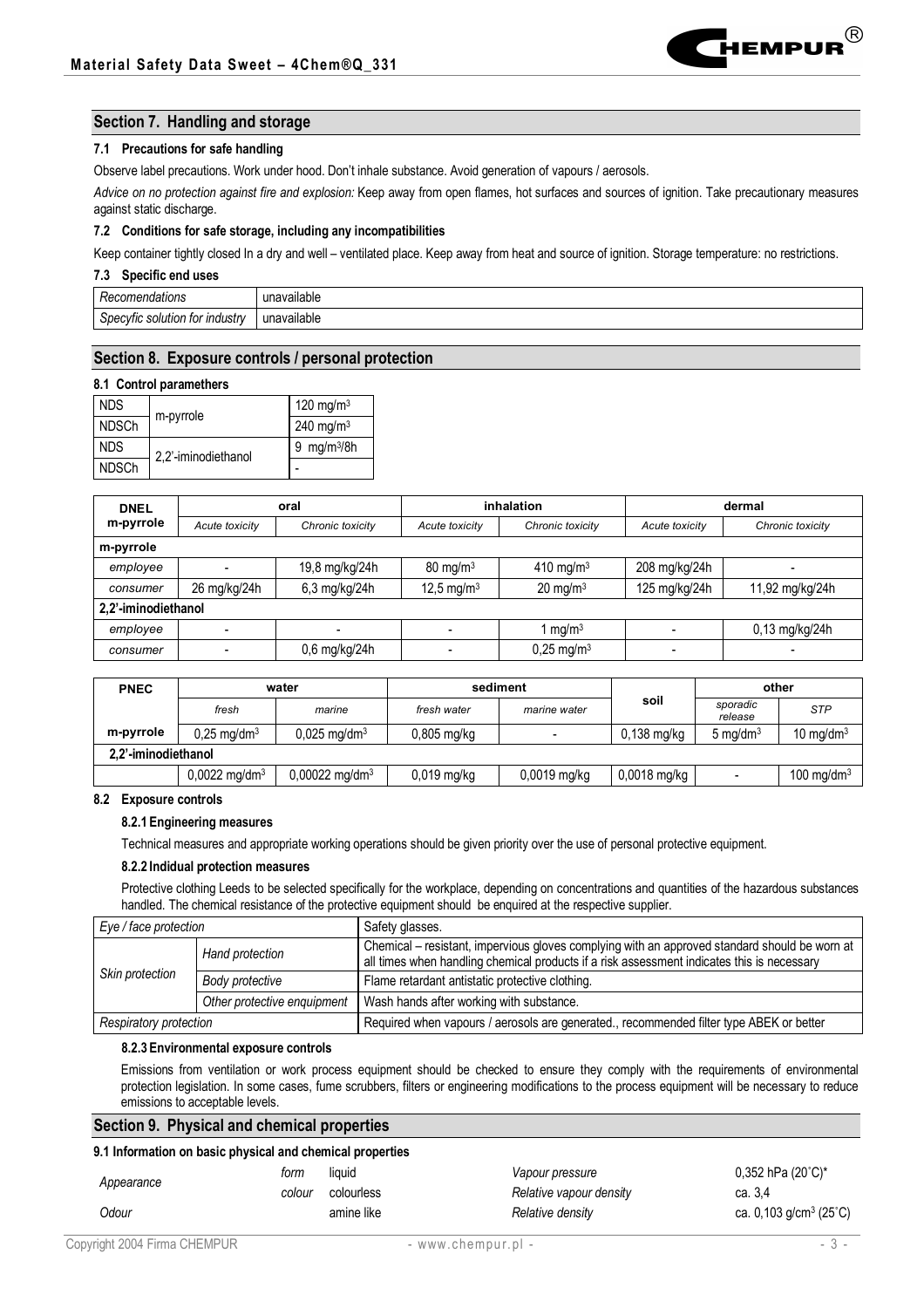

### **Section 7. Handling and storage**

#### **7.1 Precautions for safe handling**

Observe label precautions. Work under hood. Don't inhale substance. Avoid generation of vapours / aerosols.

*Advice on no protection against fire and explosion:* Keep away from open flames, hot surfaces and sources of ignition. Take precautionary measures against static discharge.

#### **7.2 Conditions for safe storage, including any incompatibilities**

Keep container tightly closed In a dry and well – ventilated place. Keep away from heat and source of ignition. Storage temperature: no restrictions.

#### **7.3 Specific end uses**

| nendations<br>πь.<br>.                           | <br>$\sum$<br><i>r</i> ailable<br>ш |
|--------------------------------------------------|-------------------------------------|
| ı tor industrv<br>solution<br>`necvfic .<br>ັບທະ | <br>iavailable<br>$\sum$<br>.       |

### **Section 8. Exposure controls / personal protection**

#### **8.1 Control paramethers**

| <b>NDS</b>   | m-pyrrole           | 120 mg/m $3$               |  |
|--------------|---------------------|----------------------------|--|
| <b>NDSCh</b> |                     | $240 \text{ mg/m}^3$       |  |
| <b>NDS</b>   | 2.2'-iminodiethanol | mg/m <sup>3</sup> /8h<br>9 |  |
| <b>NDSCh</b> |                     |                            |  |

| <b>DNEL</b>         | oral           |                  | inhalation             |                          | dermal                   |                  |  |  |  |
|---------------------|----------------|------------------|------------------------|--------------------------|--------------------------|------------------|--|--|--|
| m-pyrrole           | Acute toxicity | Chronic toxicity | Acute toxicity         | Chronic toxicity         | Acute toxicity           | Chronic toxicity |  |  |  |
| m-pyrrole           |                |                  |                        |                          |                          |                  |  |  |  |
| employee            |                | 19,8 mg/kg/24h   | $80 \text{ mg/m}^3$    | 410 mg/m $3$             | 208 mg/kg/24h            |                  |  |  |  |
| consumer            | 26 mg/kg/24h   | 6,3 mg/kg/24h    | 12,5 mg/m <sup>3</sup> | $20 \text{ mg/m}^3$      | 125 mg/kg/24h            | 11,92 mg/kg/24h  |  |  |  |
| 2,2'-iminodiethanol |                |                  |                        |                          |                          |                  |  |  |  |
| employee            |                |                  |                        | 1 mg/m $3$               |                          | 0,13 mg/kg/24h   |  |  |  |
| consumer            |                | 0,6 mg/kg/24h    |                        | $0,25$ mg/m <sup>3</sup> | $\overline{\phantom{0}}$ |                  |  |  |  |

| <b>PNEC</b>         | water                       |                              | sediment      |                          |                | other                    |               |  |
|---------------------|-----------------------------|------------------------------|---------------|--------------------------|----------------|--------------------------|---------------|--|
|                     | fresh                       | marine                       | fresh water   | marine water             | soil           | sporadic<br>release      | <b>STP</b>    |  |
| m-pyrrole           | $0.25 \text{ mq/dm}^3$      | $0,025 \text{ mg/dm}^3$      | $0,805$ mg/kg | $\overline{\phantom{a}}$ | $0,138$ mg/kg  | $5 \text{ mg/dm}^3$      | 10 mg/dm $3$  |  |
| 2.2'-iminodiethanol |                             |                              |               |                          |                |                          |               |  |
|                     | $0.0022 \,\mathrm{mq/dm^3}$ | $0,00022$ mg/dm <sup>3</sup> | $0,019$ mg/kg | $0,0019$ mg/kg           | $0,0018$ mg/kg | $\overline{\phantom{0}}$ | 100 mg/dm $3$ |  |

### **8.2 Exposure controls**

#### **8.2.1 Engineering measures**

Technical measures and appropriate working operations should be given priority over the use of personal protective equipment.

#### **8.2.2 Indidual protection measures**

Protective clothing Leeds to be selected specifically for the workplace, depending on concentrations and quantities of the hazardous substances handled. The chemical resistance of the protective equipment should be enquired at the respective supplier.

| Eye / face protection         |                                    | Safety glasses.                                                                                                                                                                             |
|-------------------------------|------------------------------------|---------------------------------------------------------------------------------------------------------------------------------------------------------------------------------------------|
|                               | Hand protection                    | Chemical – resistant, impervious gloves complying with an approved standard should be worn at<br>all times when handling chemical products if a risk assessment indicates this is necessary |
|                               | Skin protection<br>Body protective | Flame retardant antistatic protective clothing.                                                                                                                                             |
|                               | Other protective enquipment        | Wash hands after working with substance.                                                                                                                                                    |
| <b>Respiratory protection</b> |                                    | Required when vapours / aerosols are generated., recommended filter type ABEK or better                                                                                                     |

#### **8.2.3 Environmental exposure controls**

Emissions from ventilation or work process equipment should be checked to ensure they comply with the requirements of environmental protection legislation. In some cases, fume scrubbers, filters or engineering modifications to the process equipment will be necessary to reduce emissions to acceptable levels.

### **Section 9. Physical and chemical properties**

### **9.1 Information on basic physical and chemical properties**

|            | torm   | liauid     | Vapour pressure         | 0,352 hPa (20°C)*              |
|------------|--------|------------|-------------------------|--------------------------------|
| Appearance | colour | colourless | Relative vapour density | ca. 3.4                        |
| Odour      |        | amine like | Relative density        | ca. 0,103 g/cm <sup>3</sup> (2 |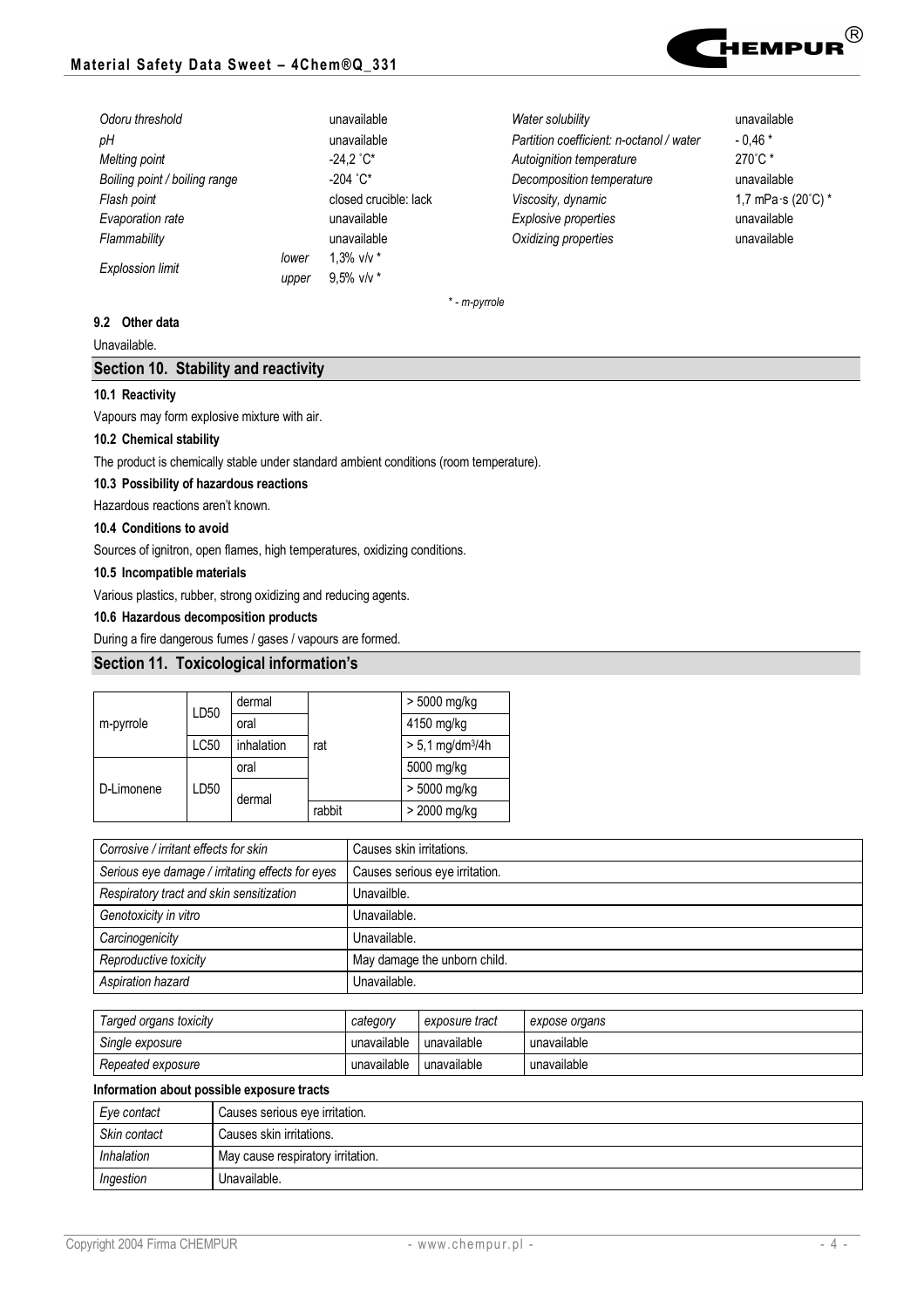

| Odoru threshold               |       | unavailable           | Water solubility                         | unavailable                                  |
|-------------------------------|-------|-----------------------|------------------------------------------|----------------------------------------------|
| pН                            |       | unavailable           | Partition coefficient: n-octanol / water | $-0.46*$                                     |
| Melting point                 |       | $-24.2 °C*$           | Autoignition temperature                 | $270^{\circ}$ C *                            |
| Boiling point / boiling range |       | $-204$ $^{\circ}$ C*  | Decomposition temperature                | unavailable                                  |
| Flash point                   |       | closed crucible: lack | Viscosity, dynamic                       | 1,7 mPa $\cdot$ s (20 $\degree$ C) $\degree$ |
| Evaporation rate              |       | unavailable           | Explosive properties                     | unavailable                                  |
| Flammability                  |       | unavailable           | Oxidizing properties                     | unavailable                                  |
| <b>Explossion limit</b>       | lower | 1.3% $v/v *$          |                                          |                                              |
|                               | upper | $9.5\%$ v/v $*$       |                                          |                                              |

*\* - m-pyrrole*

### **9.2 Other data**

Unavailable.

## **Section 10. Stability and reactivity**

### **10.1 Reactivity**

Vapours may form explosive mixture with air.

### **10.2 Chemical stability**

The product is chemically stable under standard ambient conditions (room temperature).

### **10.3 Possibility of hazardous reactions**

Hazardous reactions aren't known.

### **10.4 Conditions to avoid**

Sources of ignitron, open flames, high temperatures, oxidizing conditions.

### **10.5 Incompatible materials**

Various plastics, rubber, strong oxidizing and reducing agents.

### **10.6 Hazardous decomposition products**

During a fire dangerous fumes / gases / vapours are formed.

# **Section 11. Toxicological information's**

|            | LD50        | dermal     | rat    | > 5000 mg/kg                   |
|------------|-------------|------------|--------|--------------------------------|
| m-pyrrole  |             | oral       |        | 4150 mg/kg                     |
|            | <b>LC50</b> | inhalation |        | $> 5.1$ mg/dm <sup>3</sup> /4h |
|            | LD50        | oral       |        | 5000 mg/kg                     |
| D-Limonene |             | dermal     |        | > 5000 mg/kg                   |
|            |             |            | rabbit | > 2000 mg/kg                   |

| Corrosive / irritant effects for skin            | Causes skin irritations.       |
|--------------------------------------------------|--------------------------------|
| Serious eye damage / irritating effects for eyes | Causes serious eye irritation. |
| Respiratory tract and skin sensitization         | Unavailble.                    |
| Genotoxicity in vitro                            | Unavailable.                   |
| Carcinogenicity                                  | Unavailable.                   |
| Reproductive toxicity                            | May damage the unborn child.   |
| Aspiration hazard                                | Unavailable.                   |

| Targed organs toxicity | category    | exposure tract | expose organs |
|------------------------|-------------|----------------|---------------|
| Single exposure        | unavailable | unavailable    | unavailable   |
| Repeated exposure      | unavailable | unavailable    | unavailable   |

#### **Information about possible exposure tracts**

| Eve contact  | Causes serious eye irritation.    |
|--------------|-----------------------------------|
| Skin contact | Causes skin irritations.          |
| Inhalation   | May cause respiratory irritation. |
| Ingestion    | Unavailable.                      |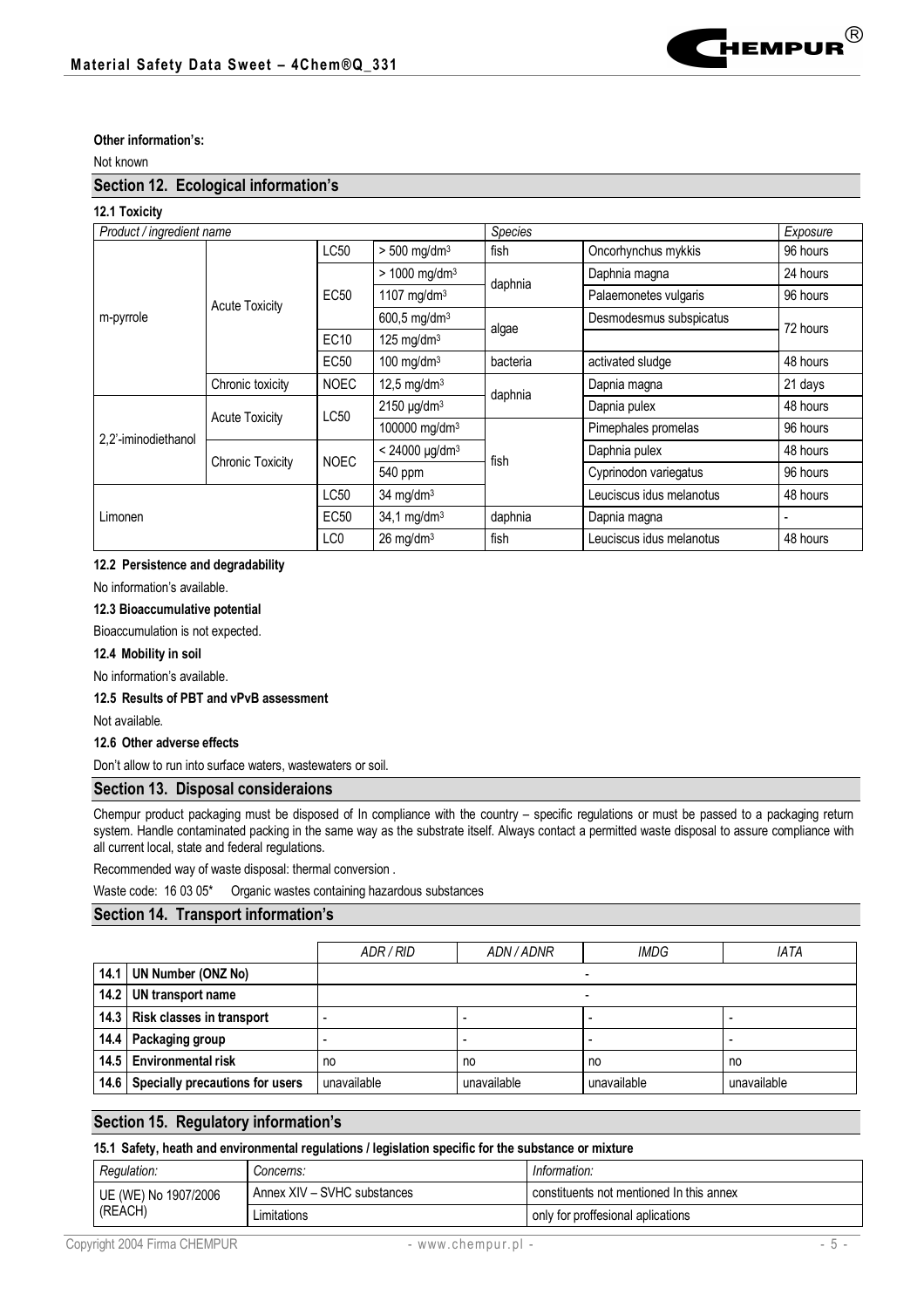

## **Other information's:**

Not known

### **Section 12. Ecological information's**

## **12.1 Toxicity**

| Product / ingredient name |                         |                  |                             | Species  |                          | Exposure |
|---------------------------|-------------------------|------------------|-----------------------------|----------|--------------------------|----------|
|                           |                         | LC50             | $> 500$ mg/dm <sup>3</sup>  | fish     | Oncorhynchus mykkis      | 96 hours |
|                           |                         |                  | $> 1000$ mg/dm <sup>3</sup> | daphnia  | Daphnia magna            | 24 hours |
|                           | <b>Acute Toxicity</b>   | EC50             | 1107 mg/dm $3$              |          | Palaemonetes vulgaris    | 96 hours |
| m-pyrrole                 |                         |                  | 600,5 mg/dm <sup>3</sup>    |          | Desmodesmus subspicatus  |          |
|                           |                         | EC <sub>10</sub> | 125 mg/dm $3$               | algae    |                          | 72 hours |
|                           |                         | EC50             | 100 mg/dm $3$               | bacteria | activated sludge         | 48 hours |
|                           | Chronic toxicity        | <b>NOEC</b>      | 12,5 mg/dm <sup>3</sup>     | daphnia  | Dapnia magna             | 21 days  |
| 2,2'-iminodiethanol       | <b>Acute Toxicity</b>   | LC50             | $2150 \mu g/dm3$            |          | Dapnia pulex             | 48 hours |
|                           |                         |                  | 100000 mg/dm <sup>3</sup>   | fish     | Pimephales promelas      | 96 hours |
|                           | <b>Chronic Toxicity</b> | <b>NOEC</b>      | $< 24000 \mu g/dm^3$        |          | Daphnia pulex            | 48 hours |
|                           |                         |                  | 540 ppm                     |          | Cyprinodon variegatus    | 96 hours |
| Limonen                   |                         | LC50             | 34 mg/d $m3$                |          | Leuciscus idus melanotus | 48 hours |
|                           |                         | EC50             | $34,1$ mg/dm <sup>3</sup>   | daphnia  | Dapnia magna             |          |
|                           |                         | LC0              | $26$ mg/dm <sup>3</sup>     | fish     | Leuciscus idus melanotus | 48 hours |

### **12.2 Persistence and degradability**

No information's available.

### **12.3 Bioaccumulative potential**

Bioaccumulation is not expected.

**12.4 Mobility in soil**

No information's available.

#### **12.5 Results of PBT and vPvB assessment**

Not available.

### **12.6 Other adverse effects**

Don't allow to run into surface waters, wastewaters or soil.

### **Section 13. Disposal consideraions**

Chempur product packaging must be disposed of In compliance with the country – specific regulations or must be passed to a packaging return system. Handle contaminated packing in the same way as the substrate itself. Always contact a permitted waste disposal to assure compliance with all current local, state and federal regulations.

Recommended way of waste disposal: thermal conversion .

Waste code: 16 03 05\* Organic wastes containing hazardous substances

# **Section 14. Transport information's**

|                                      | ADR / RID   | ADN/ADNR    | IMDG                     | <b>IATA</b>              |
|--------------------------------------|-------------|-------------|--------------------------|--------------------------|
| 14.1 UN Number (ONZ No)              |             |             |                          |                          |
| 14.2   UN transport name             |             |             | $\overline{\phantom{0}}$ |                          |
| 14.3 Risk classes in transport       |             |             |                          | $\overline{\phantom{0}}$ |
| 14.4 Packaging group                 |             |             |                          | $\overline{\phantom{0}}$ |
| 14.5   Environmental risk            | no          | no          | no                       | no                       |
| 14.6 Specially precautions for users | unavailable | unavailable | unavailable              | unavailable              |

# **Section 15. Regulatory information's**

### **15.1 Safety, heath and environmental regulations / legislation specific for the substance or mixture**

| Regulation:          | <i>Concerns:</i>            | Information:                             |
|----------------------|-----------------------------|------------------------------------------|
| UE (WE) No 1907/2006 | Annex XIV - SVHC substances | constituents not mentioned In this annex |
| (REACH)              | ∟imitations                 | only for proffesional aplications        |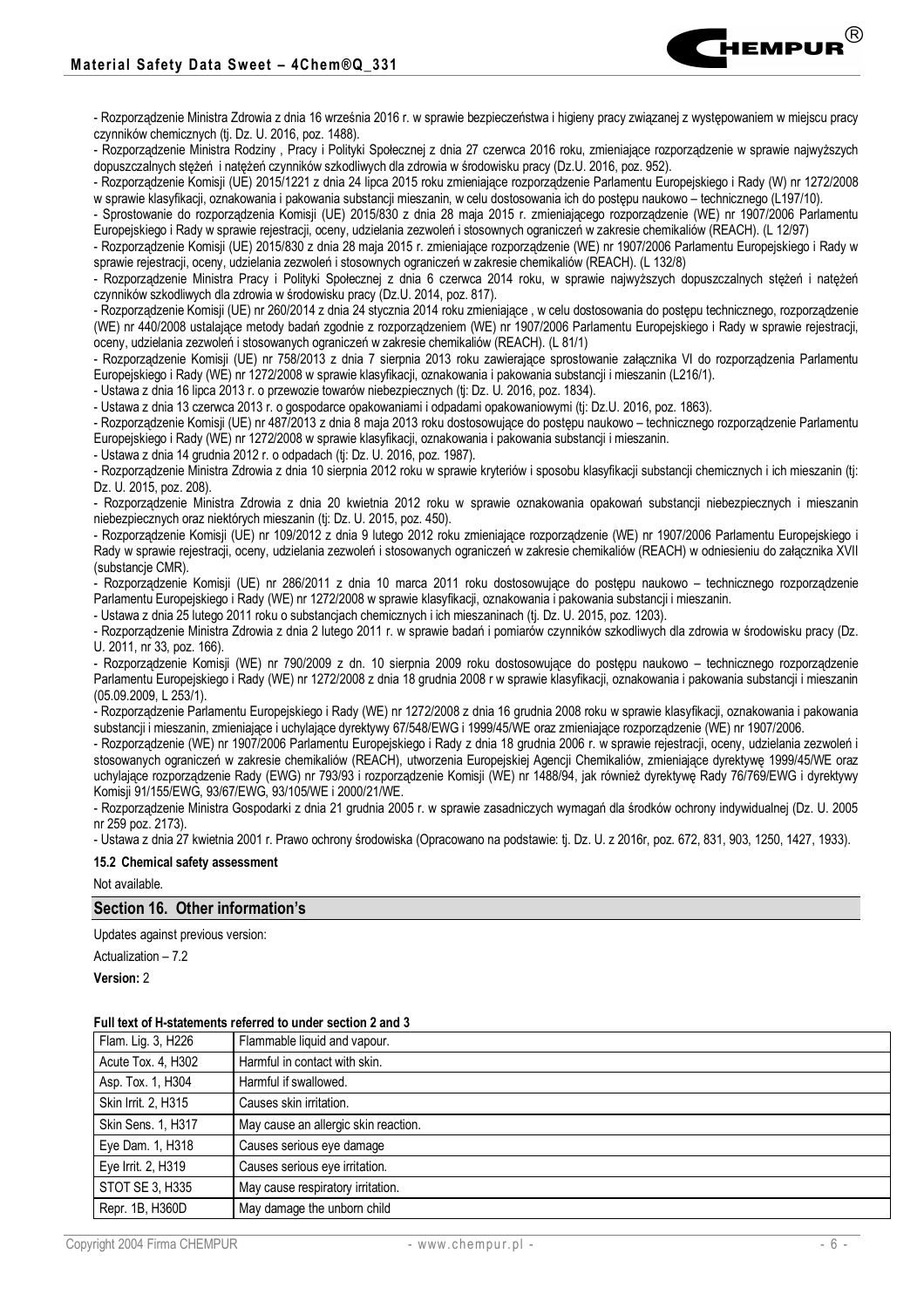

- Rozporządzenie Ministra Rodziny , Pracy i Polityki Społecznej z dnia 27 czerwca 2016 roku, zmieniające rozporządzenie w sprawie najwyższych dopuszczalnych stężeń i natężeń czynników szkodliwych dla zdrowia w środowisku pracy (Dz.U. 2016, poz. 952).

- Rozporządzenie Komisji (UE) 2015/1221 z dnia 24 lipca 2015 roku zmieniające rozporządzenie Parlamentu Europejskiego i Rady (W) nr 1272/2008 w sprawie klasyfikacji, oznakowania i pakowania substancji mieszanin, w celu dostosowania ich do postępu naukowo – technicznego (L197/10).

- Sprostowanie do rozporządzenia Komisji (UE) 2015/830 z dnia 28 maja 2015 r. zmieniającego rozporządzenie (WE) nr 1907/2006 Parlamentu Europejskiego i Rady w sprawie rejestracji, oceny, udzielania zezwoleń i stosownych ograniczeń w zakresie chemikaliów (REACH). (L 12/97)

- Rozporządzenie Komisji (UE) 2015/830 z dnia 28 maja 2015 r. zmieniające rozporządzenie (WE) nr 1907/2006 Parlamentu Europejskiego i Rady w sprawie rejestracji, oceny, udzielania zezwoleń i stosownych ograniczeń w zakresie chemikaliów (REACH). (L 132/8)

- Rozporządzenie Ministra Pracy i Polityki Społecznej z dnia 6 czerwca 2014 roku, w sprawie najwyższych dopuszczalnych stężeń i natężeń czynników szkodliwych dla zdrowia w środowisku pracy (Dz.U. 2014, poz. 817).

- Rozporządzenie Komisji (UE) nr 260/2014 z dnia 24 stycznia 2014 roku zmieniające , w celu dostosowania do postępu technicznego, rozporządzenie (WE) nr 440/2008 ustalające metody badań zgodnie z rozporządzeniem (WE) nr 1907/2006 Parlamentu Europejskiego i Rady w sprawie rejestracji, oceny, udzielania zezwoleń i stosowanych ograniczeń w zakresie chemikaliów (REACH). (L 81/1)

- Rozporządzenie Komisji (UE) nr 758/2013 z dnia 7 sierpnia 2013 roku zawierające sprostowanie załącznika VI do rozporządzenia Parlamentu Europejskiego i Rady (WE) nr 1272/2008 w sprawie klasyfikacji, oznakowania i pakowania substancji i mieszanin (L216/1).

- Ustawa z dnia 16 lipca 2013 r. o przewozie towarów niebezpiecznych (tj: Dz. U. 2016, poz. 1834).

- Ustawa z dnia 13 czerwca 2013 r. o gospodarce opakowaniami i odpadami opakowaniowymi (tj: Dz.U. 2016, poz. 1863).

- Rozporządzenie Komisji (UE) nr 487/2013 z dnia 8 maja 2013 roku dostosowujące do postępu naukowo – technicznego rozporządzenie Parlamentu Europejskiego i Rady (WE) nr 1272/2008 w sprawie klasyfikacji, oznakowania i pakowania substancji i mieszanin.

- Ustawa z dnia 14 grudnia 2012 r. o odpadach (tj: Dz. U. 2016, poz. 1987).

- Rozporządzenie Ministra Zdrowia z dnia 10 sierpnia 2012 roku w sprawie kryteriów i sposobu klasyfikacji substancji chemicznych i ich mieszanin (tj: Dz. U. 2015, poz. 208).

- Rozporządzenie Ministra Zdrowia z dnia 20 kwietnia 2012 roku w sprawie oznakowania opakowań substancji niebezpiecznych i mieszanin niebezpiecznych oraz niektórych mieszanin (tj: Dz. U. 2015, poz. 450).

- Rozporządzenie Komisji (UE) nr 109/2012 z dnia 9 lutego 2012 roku zmieniające rozporządzenie (WE) nr 1907/2006 Parlamentu Europejskiego i Rady w sprawie rejestracji, oceny, udzielania zezwoleń i stosowanych ograniczeń w zakresie chemikaliów (REACH) w odniesieniu do załącznika XVII (substancje CMR).

- Rozporządzenie Komisji (UE) nr 286/2011 z dnia 10 marca 2011 roku dostosowujące do postępu naukowo – technicznego rozporządzenie Parlamentu Europejskiego i Rady (WE) nr 1272/2008 w sprawie klasyfikacji, oznakowania i pakowania substancji i mieszanin.

- Ustawa z dnia 25 lutego 2011 roku o substancjach chemicznych i ich mieszaninach (tj. Dz. U. 2015, poz. 1203).

- Rozporządzenie Ministra Zdrowia z dnia 2 lutego 2011 r. w sprawie badań i pomiarów czynników szkodliwych dla zdrowia w środowisku pracy (Dz. U. 2011, nr 33, poz. 166).

- Rozporządzenie Komisji (WE) nr 790/2009 z dn. 10 sierpnia 2009 roku dostosowujące do postępu naukowo – technicznego rozporządzenie Parlamentu Europejskiego i Rady (WE) nr 1272/2008 z dnia 18 grudnia 2008 r w sprawie klasyfikacji, oznakowania i pakowania substancji i mieszanin (05.09.2009, L 253/1).

- Rozporządzenie Parlamentu Europejskiego i Rady (WE) nr 1272/2008 z dnia 16 grudnia 2008 roku w sprawie klasyfikacji, oznakowania i pakowania substancji i mieszanin, zmieniające i uchylające dyrektywy 67/548/EWG i 1999/45/WE oraz zmieniające rozporządzenie (WE) nr 1907/2006.

- Rozporządzenie (WE) nr 1907/2006 Parlamentu Europejskiego i Rady z dnia 18 grudnia 2006 r. w sprawie rejestracji, oceny, udzielania zezwoleń i stosowanych ograniczeń w zakresie chemikaliów (REACH), utworzenia Europejskiej Agencji Chemikaliów, zmieniające dyrektywę 1999/45/WE oraz uchylające rozporządzenie Rady (EWG) nr 793/93 i rozporządzenie Komisji (WE) nr 1488/94, jak również dyrektywę Rady 76/769/EWG i dyrektywy Komisji 91/155/EWG, 93/67/EWG, 93/105/WE i 2000/21/WE.

- Rozporządzenie Ministra Gospodarki z dnia 21 grudnia 2005 r. w sprawie zasadniczych wymagań dla środków ochrony indywidualnej (Dz. U. 2005 nr 259 poz. 2173).

- Ustawa z dnia 27 kwietnia 2001 r. Prawo ochrony środowiska (Opracowano na podstawie: tj. Dz. U. z 2016r, poz. 672, 831, 903, 1250, 1427, 1933).

#### **15.2 Chemical safety assessment**

Not available.

### **Section 16. Other information's**

Updates against previous version:

Actualization – 7.2

**Version:** 2

#### **Full text of H-statements referred to under section 2 and 3**

| Flam. Lig. 3, H226  | Flammable liquid and vapour.         |
|---------------------|--------------------------------------|
| Acute Tox. 4, H302  | Harmful in contact with skin.        |
| Asp. Tox. 1, H304   | Harmful if swallowed.                |
| Skin Irrit. 2, H315 | Causes skin irritation.              |
| Skin Sens. 1, H317  | May cause an allergic skin reaction. |
| Eye Dam. 1, H318    | Causes serious eye damage            |
| Eye Irrit. 2, H319  | Causes serious eye irritation.       |
| STOT SE 3, H335     | May cause respiratory irritation.    |
| Repr. 1B, H360D     | May damage the unborn child          |
|                     |                                      |

**T**<br>Hempur